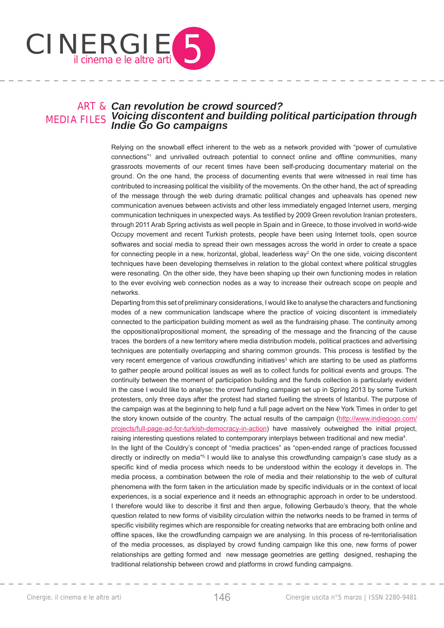

### ART & *Can revolution be crowd sourced?* MEDIA FILES *Voicing discontent and building political participation through Indie Go Go campaigns*

Relying on the snowball effect inherent to the web as a network provided with "power of cumulative connections"<sup>1</sup> and unrivalled outreach potential to connect online and offline communities, many grassroots movements of our recent times have been self-producing documentary material on the ground. On the one hand, the process of documenting events that were witnessed in real time has contributed to increasing political the visibility of the movements. On the other hand, the act of spreading of the message through the web during dramatic political changes and upheavals has opened new communication avenues between activists and other less immediately engaged Internet users, merging communication techniques in unexpected ways. As testified by 2009 Green revolution Iranian protesters, through 2011 Arab Spring activists as well people in Spain and in Greece, to those involved in world-wide Occupy movement and recent Turkish protests, people have been using Internet tools, open source softwares and social media to spread their own messages across the world in order to create a space for connecting people in a new, horizontal, global, leaderless way<sup>2</sup> On the one side, voicing discontent techniques have been developing themselves in relation to the global context where political struggles were resonating. On the other side, they have been shaping up their own functioning modes in relation to the ever evolving web connection nodes as a way to increase their outreach scope on people and networks.

Departing from this set of preliminary considerations, I would like to analyse the characters and functioning modes of a new communication landscape where the practice of voicing discontent is immediately connected to the participation building moment as well as the fundraising phase. The continuity among the oppositional/propositional moment, the spreading of the message and the financing of the cause traces the borders of a new territory where media distribution models, political practices and advertising techniques are potentially overlapping and sharing common grounds. This process is testified by the very recent emergence of various crowdfunding initiatives<sup>3</sup> which are starting to be used as platforms to gather people around political issues as well as to collect funds for political events and groups. The continuity between the moment of participation building and the funds collection is particularly evident in the case I would like to analyse: the crowd funding campaign set up in Spring 2013 by some Turkish protesters, only three days after the protest had started fuelling the streets of Istanbul. The purpose of the campaign was at the beginning to help fund a full page advert on the New York Times in order to get the story known outside of the country. The actual results of the campaign (http://www.indiegogo.com/ projects/full-page-ad-for-turkish-democracy-in-action) have massively outweighed the initial project, raising interesting questions related to contemporary interplays between traditional and new media<sup>4</sup>.

In the light of the Couldry's concept of "media practices" as "open-ended range of practices focussed directly or indirectly on media"<sup>5,</sup> I would like to analyse this crowdfunding campaign's case study as a specific kind of media process which needs to be understood within the ecology it develops in. The media process, a combination between the role of media and their relationship to the web of cultural phenomena with the form taken in the articulation made by specific individuals or in the context of local experiences, is a social experience and it needs an ethnographic approach in order to be understood. I therefore would like to describe it first and then argue, following Gerbaudo's theory, that the whole question related to new forms of visibility circulation within the networks needs to be framed in terms of specific visibility regimes which are responsible for creating networks that are embracing both online and offline spaces, like the crowdfunding campaign we are analysing. In this process of re-territorialisation of the media processes, as displayed by crowd funding campaign like this one, new forms of power relationships are getting formed and new message geometries are getting designed, reshaping the traditional relationship between crowd and platforms in crowd funding campaigns.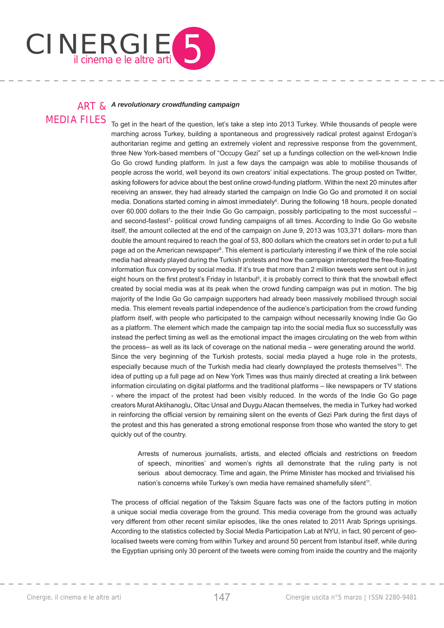

## ART & *A revolutionary crowdfunding campaign* MEDIA FILES

To get in the heart of the question, let's take a step into 2013 Turkey. While thousands of people were marching across Turkey, building a spontaneous and progressively radical protest against Erdogan's authoritarian regime and getting an extremely violent and repressive response from the government, three New York-based members of "Occupy Gezi" set up a fundings collection on the well-known Indie Go Go crowd funding platform. In just a few days the campaign was able to mobilise thousands of people across the world, well beyond its own creators' initial expectations. The group posted on Twitter, asking followers for advice about the best online crowd-funding platform. Within the next 20 minutes after receiving an answer, they had already started the campaign on Indie Go Go and promoted it on social media. Donations started coming in almost immediately<sup>6</sup>. During the following 18 hours, people donated over 60.000 dollars to the their Indie Go Go campaign, possibly participating to the most successful – and second-fastest<sup>7</sup>- political crowd funding campaigns of all times. According to Indie Go Go website itself, the amount collected at the end of the campaign on June 9, 2013 was 103,371 dollars- more than double the amount required to reach the goal of 53, 800 dollars which the creators set in order to put a full page ad on the American newspaper<sup>8</sup>. This element is particularly interesting if we think of the role social media had already played during the Turkish protests and how the campaign intercepted the free-floating information flux conveved by social media. If it's true that more than 2 million tweets were sent out in just eight hours on the first protest's Friday in Istanbul<sup>9</sup>, it is probably correct to think that the snowball effect created by social media was at its peak when the crowd funding campaign was put in motion. The big majority of the Indie Go Go campaign supporters had already been massively mobilised through social media. This element reveals partial independence of the audience's participation from the crowd funding platform itself, with people who participated to the campaign without necessarily knowing Indie Go Go as a platform. The element which made the campaign tap into the social media flux so successfully was instead the perfect timing as well as the emotional impact the images circulating on the web from within the process– as well as its lack of coverage on the national media – were generating around the world. Since the very beginning of the Turkish protests, social media played a huge role in the protests, especially because much of the Turkish media had clearly downplayed the protests themselves<sup>10</sup>. The idea of putting up a full page ad on New York Times was thus mainly directed at creating a link between information circulating on digital platforms and the traditional platforms – like newspapers or TV stations - where the impact of the protest had been visibly reduced. In the words of the Indie Go Go page creators Murat Aktihanoglu, Oltac Unsal and Duygu Atacan themselves, the media in Turkey had worked in reinforcing the official version by remaining silent on the events of Gezi Park during the first days of the protest and this has generated a strong emotional response from those who wanted the story to get quickly out of the country.

Arrests of numerous journalists, artists, and elected officials and restrictions on freedom of speech, minorities' and women's rights all demonstrate that the ruling party is not serious about democracy. Time and again, the Prime Minister has mocked and trivialised his nation's concerns while Turkey's own media have remained shamefully silent<sup>11</sup>.

The process of official negation of the Taksim Square facts was one of the factors putting in motion a unique social media coverage from the ground. This media coverage from the ground was actually very different from other recent similar episodes, like the ones related to 2011 Arab Springs uprisings. According to the statistics collected by Social Media Participation Lab at NYU, in fact, 90 percent of geolocalised tweets were coming from within Turkey and around 50 percent from Istanbul itself, while during the Egyptian uprising only 30 percent of the tweets were coming from inside the country and the majority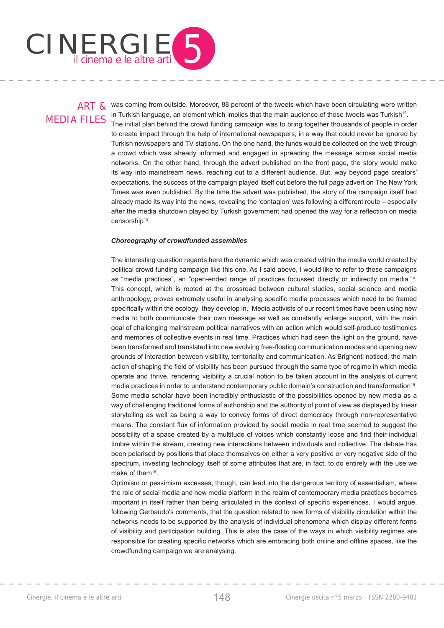

# MEDIA FILES

ART & was coming from outside. Moreover, 88 percent of the tweets which have been circulating were written in Turkish language, an element which implies that the main audience of those tweets was Turkish<sup>12</sup>. The initial plan behind the crowd funding campaign was to bring together thousands of people in order to create impact through the help of international newspapers, in a way that could never be ignored by Turkish newspapers and TV stations. On the one hand, the funds would be collected on the web through a crowd which was already informed and engaged in spreading the message across social media networks. On the other hand, through the advert published on the front page, the story would make its way into mainstream news, reaching out to a different audience. But, way beyond page creators' expectations, the success of the campaign played itself out before the full page advert on The New York Times was even published. By the time the advert was published, the story of the campaign itself had already made its way into the news, revealing the 'contagion' was following a different route – especially after the media shutdown played by Turkish government had opened the way for a reflection on media censorship<sup>13</sup>.

### *Choreography of crowdfunded assemblies*

The interesting question regards here the dynamic which was created within the media world created by political crowd funding campaign like this one. As I said above, I would like to refer to these campaigns as "media practices", an "open-ended range of practices focussed directly or indirectly on media"<sup>14</sup>. This concept, which is rooted at the crossroad between cultural studies, social science and media anthropology, proves extremely useful in analysing specific media processes which need to be framed specifically within the ecology they develop in. Media activists of our recent times have been using new media to both communicate their own message as well as constantly enlarge support, with the main goal of challenging mainstream political narratives with an action which would self-produce testimonies and memories of collective events in real time. Practices which had seen the light on the ground, have been transformed and translated into new evolving free-floating communication modes and opening new grounds of interaction between visibility, territoriality and communication. As Brighenti noticed, the main action of shaping the field of visibility has been pursued through the same type of regime in which media operate and thrive, rendering visibility a crucial notion to be taken account in the analysis of current media practices in order to understand contemporary public domain's construction and transformation<sup>15</sup>. Some media scholar have been incredibly enthusiastic of the possibilities opened by new media as a way of challenging traditional forms of authorship and the authority of point of view as displayed by linear storytelling as well as being a way to convey forms of direct democracy through non-representative means. The constant flux of information provided by social media in real time seemed to suggest the possibility of a space created by a multitude of voices which constantly loose and find their individual timbre within the stream, creating new interactions between individuals and collective. The debate has been polarised by positions that place themselves on either a very positive or very negative side of the spectrum, investing technology itself of some attributes that are, in fact, to do entirely with the use we make of them<sup>16</sup>.

Optimism or pessimism excesses, though, can lead into the dangerous territory of essentialism, where the role of social media and new media platform in the realm of contemporary media practices becomes important in itself rather than being articulated in the context of specific experiences. I would argue, following Gerbaudo's comments, that the question related to new forms of visibility circulation within the networks needs to be supported by the analysis of individual phenomena which display different forms of visibility and participation building. This is also the case of the ways in which visibility regimes are responsible for creating specific networks which are embracing both online and offline spaces, like the crowdfunding campaign we are analysing.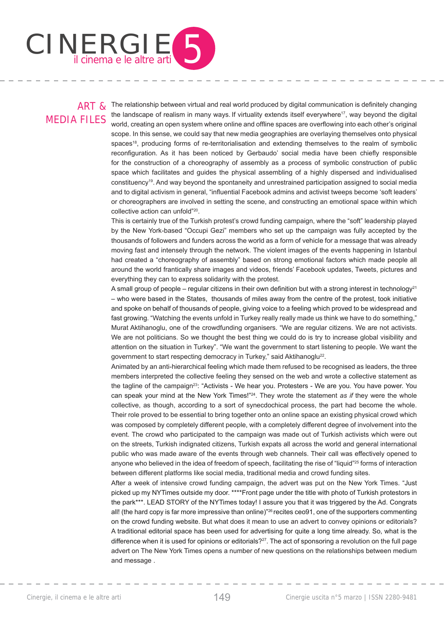

# MEDIA FILES

 $ART$  & The relationship between virtual and real world produced by digital communication is definitely changing the landscape of realism in many ways. If virtuality extends itself everywhere<sup>17</sup>, way beyond the digital world, creating an open system where online and offline spaces are overflowing into each other's original scope. In this sense, we could say that new media geographies are overlaying themselves onto physical spaces<sup>18</sup>, producing forms of re-territorialisation and extending themselves to the realm of symbolic reconfiguration. As it has been noticed by Gerbaudo' social media have been chiefly responsible for the construction of a choreography of assembly as a process of symbolic construction of public space which facilitates and guides the physical assembling of a highly dispersed and individualised constituency19. And way beyond the spontaneity and unrestrained participation assigned to social media and to digital activism in general, "influential Facebook admins and activist tweeps become 'soft leaders' or choreographers are involved in setting the scene, and constructing an emotional space within which collective action can unfold"20.

This is certainly true of the Turkish protest's crowd funding campaign, where the "soft" leadership played by the New York-based "Occupi Gezi" members who set up the campaign was fully accepted by the thousands of followers and funders across the world as a form of vehicle for a message that was already moving fast and intensely through the network. The violent images of the events happening in Istanbul had created a "choreography of assembly" based on strong emotional factors which made people all around the world frantically share images and videos, friends' Facebook updates, Tweets, pictures and everything they can to express solidarity with the protest.

A small group of people – regular citizens in their own definition but with a strong interest in technology<sup>21</sup> – who were based in the States, thousands of miles away from the centre of the protest, took initiative and spoke on behalf of thousands of people, giving voice to a feeling which proved to be widespread and fast growing. "Watching the events unfold in Turkey really really made us think we have to do something," Murat Aktihanoglu, one of the crowdfunding organisers. "We are regular citizens. We are not activists. We are not politicians. So we thought the best thing we could do is try to increase global visibility and attention on the situation in Turkey". "We want the government to start listening to people. We want the government to start respecting democracy in Turkey," said Aktihanoglu<sup>22</sup>.

Animated by an anti-hierarchical feeling which made them refused to be recognised as leaders, the three members interpreted the collective feeling they sensed on the web and wrote a collective statement as the tagline of the campaign<sup>23</sup>: "Activists - We hear you. Protesters - We are you. You have power. You can speak your mind at the New York Times!"24. They wrote the statement *as if* they were the whole collective, as though, according to a sort of synecdochical process, the part had become the whole. Their role proved to be essential to bring together onto an online space an existing physical crowd which was composed by completely different people, with a completely different degree of involvement into the event. The crowd who participated to the campaign was made out of Turkish activists which were out on the streets, Turkish indignated citizens, Turkish expats all across the world and general international public who was made aware of the events through web channels. Their call was effectively opened to anyone who believed in the idea of freedom of speech, facilitating the rise of "liquid"<sup>25</sup> forms of interaction between different platforms like social media, traditional media and crowd funding sites.

After a week of intensive crowd funding campaign, the advert was put on the New York Times. "Just picked up my NYTimes outside my door. \*\*\*\*Front page under the title with photo of Turkish protestors in the park\*\*\*. LEAD STORY of the NYTimes today! I assure you that it was triggered by the Ad. Congrats all! (the hard copy is far more impressive than online)"26 recites ceo91, one of the supporters commenting on the crowd funding website. But what does it mean to use an advert to convey opinions or editorials? A traditional editorial space has been used for advertising for quite a long time already. So, what is the difference when it is used for opinions or editorials?<sup>27</sup>. The act of sponsoring a revolution on the full page advert on The New York Times opens a number of new questions on the relationships between medium and message .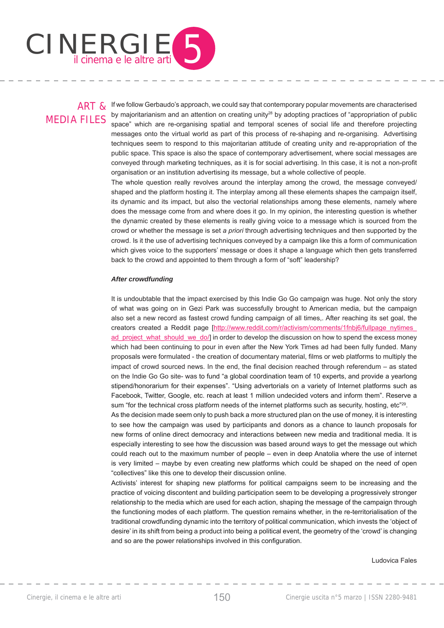

## MEDIA FILES

ART & If we follow Gerbaudo's approach, we could say that contemporary popular movements are characterised by majoritarianism and an attention on creating unity<sup>28</sup> by adopting practices of "appropriation of public space" which are re-organising spatial and temporal scenes of social life and therefore projecting messages onto the virtual world as part of this process of re-shaping and re-organising. Advertising techniques seem to respond to this majoritarian attitude of creating unity and re-appropriation of the public space. This space is also the space of contemporary advertisement, where social messages are conveyed through marketing techniques, as it is for social advertising. In this case, it is not a non-profit organisation or an institution advertising its message, but a whole collective of people.

The whole question really revolves around the interplay among the crowd, the message conveyed/ shaped and the platform hosting it. The interplay among all these elements shapes the campaign itself, its dynamic and its impact, but also the vectorial relationships among these elements, namely where does the message come from and where does it go. In my opinion, the interesting question is whether the dynamic created by these elements is really giving voice to a message which is sourced from the crowd or whether the message is set *a priori* through advertising techniques and then supported by the crowd. Is it the use of advertising techniques conveyed by a campaign like this a form of communication which gives voice to the supporters' message or does it shape a language which then gets transferred back to the crowd and appointed to them through a form of "soft" leadership?

### *After crowdfunding*

It is undoubtable that the impact exercised by this Indie Go Go campaign was huge. Not only the story of what was going on in Gezi Park was successfully brought to American media, but the campaign also set a new record as fastest crowd funding campaign of all times,. After reaching its set goal, the creators created a Reddit page [http://www.reddit.com/r/activism/comments/1fnbj6/fullpage\_nytimes ad project what should we do/] in order to develop the discussion on how to spend the excess money which had been continuing to pour in even after the New York Times ad had been fully funded. Many proposals were formulated - the creation of documentary material, films or web platforms to multiply the impact of crowd sourced news. In the end, the final decision reached through referendum  $-$  as stated on the Indie Go Go site- was to fund "a global coordination team of 10 experts, and provide a yearlong stipend/honorarium for their expenses". "Using advertorials on a variety of Internet platforms such as Facebook, Twitter, Google, etc. reach at least 1 million undecided voters and inform them". Reserve a sum "for the technical cross platform needs of the internet platforms such as security, hosting, etc"<sup>29</sup>.

As the decision made seem only to push back a more structured plan on the use of money, it is interesting to see how the campaign was used by participants and donors as a chance to launch proposals for new forms of online direct democracy and interactions between new media and traditional media. It is especially interesting to see how the discussion was based around ways to get the message out which could reach out to the maximum number of people – even in deep Anatolia where the use of internet is very limited – maybe by even creating new platforms which could be shaped on the need of open "collectives" like this one to develop their discussion online.

Activists' interest for shaping new platforms for political campaigns seem to be increasing and the practice of voicing discontent and building participation seem to be developing a progressively stronger relationship to the media which are used for each action, shaping the message of the campaign through the functioning modes of each platform. The question remains whether, in the re-territorialisation of the traditional crowdfunding dynamic into the territory of political communication, which invests the 'object of desire' in its shift from being a product into being a political event, the geometry of the 'crowd' is changing and so are the power relationships involved in this configuration.

Ludovica Fales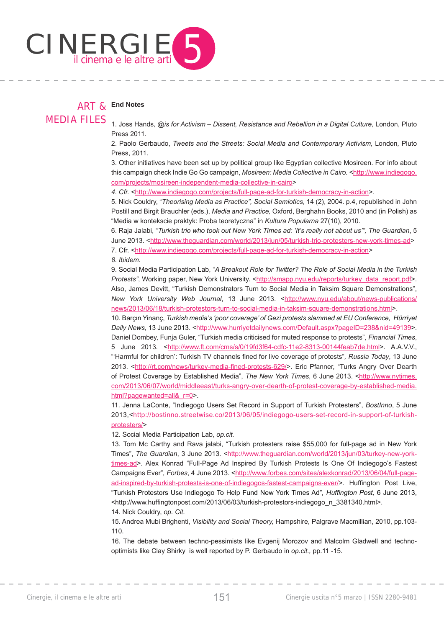

## ART & **End Notes**

MEDIA FILES

1. Joss Hands, *@is for Activism – Dissent, Resistance and Rebellion in a Digital Culture*, London, Pluto Press 2011.

2. Paolo Gerbaudo, *Tweets and the Streets: Social Media and Contemporary Activism,* London*,* Pluto Press, 2011.

3. Other initiatives have been set up by political group like Egyptian collective Mosireen. For info about this campaign check Indie Go Go campaign, *Mosireen: Media Collective in Cairo.* <http://www.indiegogo. com/projects/mosireen-independent-media-collective-in-cairo>

4. Cfr. <http://www.indiegogo.com/projects/full-page-ad-for-turkish-democracy-in-action>.

5. Nick Couldry, "*Theorising Media as Practice", Social Semiotics*, 14 (2), 2004. p.4, republished in John Postill and Birgit Brauchler (eds.), *Media and Practice,* Oxford, Berghahn Books, 2010 and (in Polish) as "Media w kontekscie praktyk: Proba teoretyczna" in *Kultura Popularna* 27(10), 2010.

6. Raja Jalabi, "*Turkish trio who took out New York Times ad: 'It's really not about us'", The Guardian*, 5 June 2013. <http://www.theguardian.com/world/2013/jun/05/turkish-trio-protesters-new-york-times-ad>

7. Cfr. <http://www.indiegogo.com/projects/full-page-ad-for-turkish-democracy-in-action>

*8. Ibidem.*

9. Social Media Participation Lab, "*A Breakout Role for Twitter? The Role of Social Media in the Turkish Protests"*, Working paper, New York University. <http://smapp.nyu.edu/reports/turkey\_data\_report.pdf>. Also, James Devitt, "Turkish Demonstrators Turn to Social Media in Taksim Square Demonstrations", *New York University Web Journal*, 13 June 2013. <http://www.nyu.edu/about/news-publications/ news/2013/06/18/turkish-protestors-turn-to-social-media-in-taksim-square-demonstrations.html>.

10. Barçın Yinanç, *Turkish media's 'poor coverage' of Gezi protests slammed at EU Conference, Hürriyet Daily News,* 13 June 2013. <http://www.hurriyetdailynews.com/Default.aspx?pageID=238&nid=49139>. Daniel Dombey, Funja Guler, "Turkish media criticised for muted response to protests", *Financial Times*, 5 June 2013. <http://www.ft.com/cms/s/0/19fd3f64-cdfc-11e2-8313-00144feab7de.html>. A.A.V.V., "Harmful for children': Turkish TV channels fined for live coverage of protests", Russia Today, 13 June 2013. <http://rt.com/news/turkey-media-fined-protests-629/>. Eric Pfanner, "Turks Angry Over Dearth of Protest Coverage by Established Media", *The New York Times*, 6 June 2013. <http://www.nytimes. com/2013/06/07/world/middleeast/turks-angry-over-dearth-of-protest-coverage-by-established-media. html?pagewanted=all& r=0>.

11. Jenna LaConte, "Indiegogo Users Set Record in Support of Turkish Protesters", *BostInno*, 5 June 2013,<http://bostinno.streetwise.co/2013/06/05/indiegogo-users-set-record-in-support-of-turkishprotesters/>

12. Social Media Participation Lab, *op.cit.*

13. Tom Mc Carthy and Rava jalabi, "Turkish protesters raise \$55,000 for full-page ad in New York Times", *The Guardian*, 3 June 2013. <http://www.theguardian.com/world/2013/jun/03/turkey-new-yorktimes-ad>. Alex Konrad "Full-Page Ad Inspired By Turkish Protests Is One Of Indiegogo's Fastest Campaigns Ever"*, Forbes*, 4 June 2013. <http://www.forbes.com/sites/alexkonrad/2013/06/04/full-pagead-inspired-by-turkish-protests-is-one-of-indiegogos-fastest-campaigns-ever/>. Huffington Post Live, "Turkish Protestors Use Indiegogo To Help Fund New York Times Ad"*, Huffi ngton Post,* 6 June 2013, <http://www.huffingtonpost.com/2013/06/03/turkish-protestors-indiegogo\_n\_3381340.html>.

14. Nick Couldry, *op. Cit.*

15. Andrea Mubi Brighenti, *Visibility and Social Theory,* Hampshire, Palgrave Macmillian, 2010, pp.103- 110.

16. The debate between techno-pessimists like Evgenij Morozov and Malcolm Gladwell and technooptimists like Clay Shirky is well reported by P. Gerbaudo in *op.cit.,* pp.11 -15.